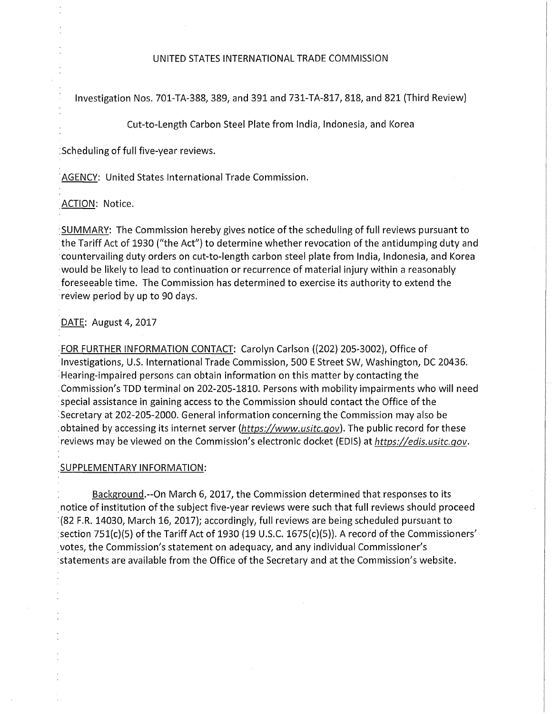## UNITED STATES INTERNATIONAL TRADE COMMISSION

Investigation Nos. 701-TA-388, 389, and 391 and 731-TA-817, 818, and 821 (Third Review)

Cut-to-Length Carbon Steel Plate from India, Indonesia, and Korea

Scheduling of full five-year reviews.

AGENCY: United States International Trade Commission.

ACTION: Notice.

SUMMARY: The Commission hereby gives notice ofthe scheduling of full reviews pursuant to the Tariff Act of 1930 ("the Act") to determine whether revocation ofthe antidumping duty and countervailing duty orders on cut-to-length carbon steel plate from India, Indonesia, and Korea would be likely to lead to continuation or recurrence of material injury within a reasonably foreseeable time. The Commission has determined to exercise its authority to extend the review period by up to 90 days.

DATE: August 4, 2017

FOR FURTHER INFORMATION CONTACT: Carolyn Carlson ((202) 205-3002), Office of Investigations, U.S. International Trade Commission, 500 E Street SW, Washington, DC 20436. Hearing-impaired persons can obtain information on this matter by contacting the Commission's TDD terminal on 202-205-1810. Persons with mobility impairments who will need special assistance in gaining access to the Commission should contact the Office of the Secretary at 202-205-2000. General information concerning the Commission may also be obtained by accessing its internet server (https://www.usitc.gov). The public record for these reviews may be viewed on the Commission's electronic docket (EDIS) at https://edis.usitc.gov.

## SUPPLEMENTARY INFORMATION:

Background.--On March 6, 2017, the Commission determined that responses to its notice of institution of the subject five-year reviews were such that full reviews should proceed (82 F.R. 14030, March 16, 2017); accordingly, full reviews are being scheduled pursuant to section 751(c)(5) of the Tariff Act of 1930 (19 U.S.C. 1675(c)(5)). A record of the Commissioners' votes, the Commission's statement on adequacy, and any individual Commissioner's statements are available from the Office of the Secretary and at the Commission's website.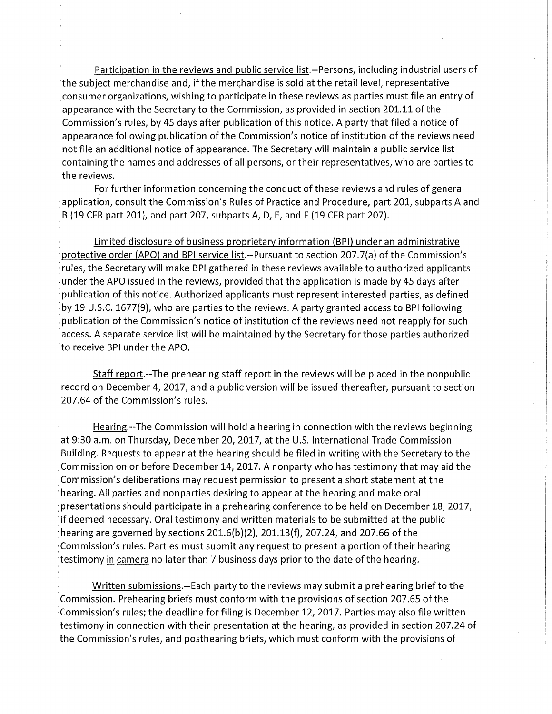Participation in the reviews and public service list.--Persons, including industrial users of ithe subject merchandise and, if the merchandise is sold at the retail level, representative consumer organizations, wishing to participate in these reviews as parties must file an entry of appearance with the Secretary to the Commission, as provided in section 201.11 of the ;Commission's rules, by 45 days after publication of this notice. A party that filed a notice of appearance following publication of the Commission's notice of institution of the reviews need not file an additional notice of appearance. The Secretary will maintain a public service list containing the names and addresses of all persons, or their representatives, who are parties to the reviews.

For further information concerning the conduct of these reviews and rules of general application, consult the Commission's Rules of Practice and Procedure, part 201, subparts A and B (19 CFR part 201), and part 207, subparts A, D, E, and F (19 CFR part 207).

Limited disclosure of business proprietary information (BPI) under an administrative protective order (APO) and BPI service list.--Pursuant to section 207.7(a) of the Commission's rules, the Secretary will make BPI gathered in these reviews available to authorized applicants under the APO issued in the reviews, provided that the application is made by 45 days after publication of this notice. Authorized applicants must represent interested parties, as defined by 19 U.S.C. 1677(9), who are parties to the reviews. A party granted access to BPI following publication of the Commission's notice of institution of the reviews need not reapply for such access. A separate service list will be maintained by the Secretary for those parties authorized to receive BPI under the APO.

Staff report.-The prehearing staff report in the reviews will be placed in the nonpublic irecord on December 4, 2017, and a public version will be issued thereafter, pursuant to section 207.64 of the Commission's rules.

Hearing.-The Commission will hold a hearing in connection with the reviews beginning at 9:30 a.m. on Thursday, December 20, 2017, at the U.S. International Trade Commission Building. Requests to appear at the hearing should be filed in writing with the Secretary to the ; Commission on or before December 14, 2017. A nonparty who has testimony that may aid the Commission's deliberations may request permission to present a short statement at the hearing. All parties and nonparties desiring to appear at the hearing and make oral presentations should participate in a prehearing conference to be held on December 18, 2017, if deemed necessary. Oral testimony and written materials to be submitted at the public hearing are governed by sections  $201.6(b)(2)$ ,  $201.13(f)$ ,  $207.24$ , and  $207.66$  of the Commission's rules. Parties must submit any request to present a portion of their hearing testimony in camera no later than 7 business days prior to the date of the hearing.

Written submissions.-Each party to the reviews may submit a prehearing brief to the Commission. Prehearing briefs must conform with the provisions of section 207.65 of the Commission's rules; the deadline for filing is December 12, 2017. Parties may also file written testimony in connection with their presentation at the hearing, as provided in section 207.24 of the Commission's rules, and posthearing briefs, which must conform with the provisions of